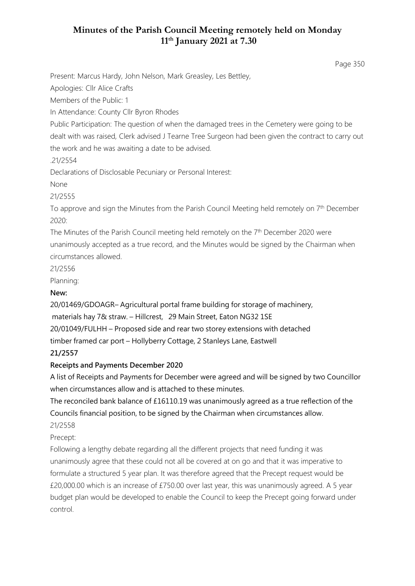## **Minutes of the Parish Council Meeting remotely held on Monday 11th January 2021 at 7.30**

Page 350

Present: Marcus Hardy, John Nelson, Mark Greasley, Les Bettley,

Apologies: Cllr Alice Crafts

Members of the Public: 1

In Attendance: County Cllr Byron Rhodes

Public Participation: The question of when the damaged trees in the Cemetery were going to be dealt with was raised, Clerk advised J Tearne Tree Surgeon had been given the contract to carry out the work and he was awaiting a date to be advised.

.21/2554

Declarations of Disclosable Pecuniary or Personal Interest:

None

21/2555

To approve and sign the Minutes from the Parish Council Meeting held remotely on  $7<sup>th</sup>$  December 2020:

The Minutes of the Parish Council meeting held remotely on the 7<sup>th</sup> December 2020 were unanimously accepted as a true record, and the Minutes would be signed by the Chairman when circumstances allowed.

21/2556

Planning:

#### **New:**

20/01469/GDOAGR– Agricultural portal frame building for storage of machinery, materials hay 7& straw. – Hillcrest, 29 Main Street, Eaton NG32 1SE 20/01049/FULHH – Proposed side and rear two storey extensions with detached timber framed car port – Hollyberry Cottage, 2 Stanleys Lane, Eastwell

# **21/2557**

### **Receipts and Payments December 2020**

A list of Receipts and Payments for December were agreed and will be signed by two Councillor when circumstances allow and is attached to these minutes.

The reconciled bank balance of £16110.19 was unanimously agreed as a true reflection of the Councils financial position, to be signed by the Chairman when circumstances allow. 21/2558

Precept:

Following a lengthy debate regarding all the different projects that need funding it was unanimously agree that these could not all be covered at on go and that it was imperative to formulate a structured 5 year plan. It was therefore agreed that the Precept request would be £20,000.00 which is an increase of £750.00 over last year, this was unanimously agreed. A 5 year budget plan would be developed to enable the Council to keep the Precept going forward under control.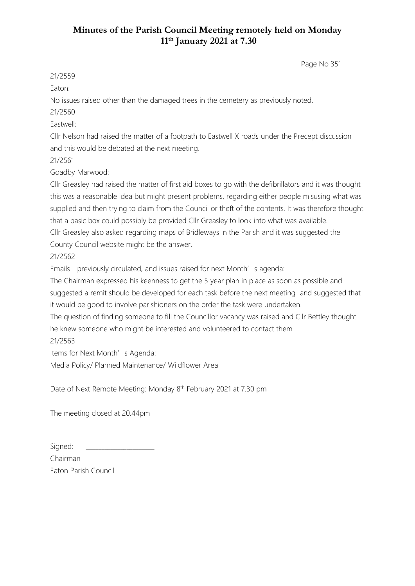## **Minutes of the Parish Council Meeting remotely held on Monday 11th January 2021 at 7.30**

Page No 351

21/2559

Eaton:

No issues raised other than the damaged trees in the cemetery as previously noted.

21/2560

Eastwell:

Cllr Nelson had raised the matter of a footpath to Eastwell X roads under the Precept discussion and this would be debated at the next meeting.

21/2561

Goadby Marwood:

Cllr Greasley had raised the matter of first aid boxes to go with the defibrillators and it was thought this was a reasonable idea but might present problems, regarding either people misusing what was supplied and then trying to claim from the Council or theft of the contents. It was therefore thought that a basic box could possibly be provided Cllr Greasley to look into what was available. Cllr Greasley also asked regarding maps of Bridleways in the Parish and it was suggested the

County Council website might be the answer.

21/2562

Emails - previously circulated, and issues raised for next Month's agenda:

The Chairman expressed his keenness to get the 5 year plan in place as soon as possible and suggested a remit should be developed for each task before the next meeting and suggested that it would be good to involve parishioners on the order the task were undertaken.

The question of finding someone to fill the Councillor vacancy was raised and Cllr Bettley thought he knew someone who might be interested and volunteered to contact them

#### 21/2563

Items for Next Month's Agenda:

Media Policy/ Planned Maintenance/ Wildflower Area

Date of Next Remote Meeting: Monday 8<sup>th</sup> February 2021 at 7.30 pm

The meeting closed at 20.44pm

Signed: Chairman Eaton Parish Council